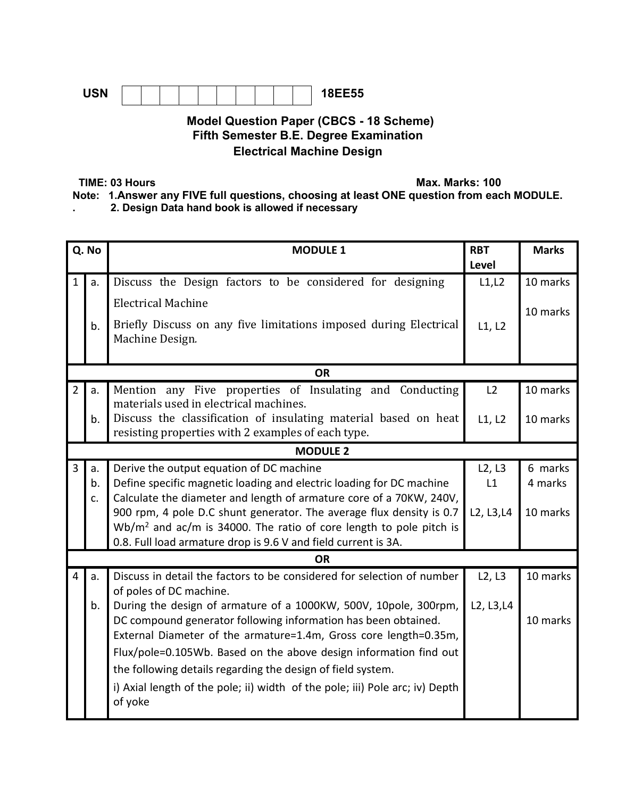

## **Model Question Paper (CBCS - 18 Scheme) Fifth Semester B.E. Degree Examination Electrical Machine Design**

**TIME: 03 Hours Max. Marks: 100** 

**Note: 1.Answer any FIVE full questions, choosing at least ONE question from each MODULE.** 

**. 2. Design Data hand book is allowed if necessary** 

| Q. No          |           | <b>MODULE 1</b>                                                                                                       | <b>RBT</b><br>Level | <b>Marks</b> |  |  |  |
|----------------|-----------|-----------------------------------------------------------------------------------------------------------------------|---------------------|--------------|--|--|--|
| $\mathbf{1}$   | a.        | Discuss the Design factors to be considered for designing                                                             | L1, L2              | 10 marks     |  |  |  |
|                |           | <b>Electrical Machine</b>                                                                                             |                     |              |  |  |  |
|                | b.        | Briefly Discuss on any five limitations imposed during Electrical                                                     | L1, L2              | 10 marks     |  |  |  |
|                |           | Machine Design.                                                                                                       |                     |              |  |  |  |
|                |           |                                                                                                                       |                     |              |  |  |  |
|                |           | <b>OR</b>                                                                                                             |                     |              |  |  |  |
| $\overline{2}$ | a.        | Mention any Five properties of Insulating and Conducting                                                              | L2                  | 10 marks     |  |  |  |
|                |           | materials used in electrical machines.                                                                                |                     |              |  |  |  |
|                | b.        | Discuss the classification of insulating material based on heat<br>resisting properties with 2 examples of each type. | L1, L2              | 10 marks     |  |  |  |
|                |           | <b>MODULE 2</b>                                                                                                       |                     |              |  |  |  |
| $\overline{3}$ | a.        | Derive the output equation of DC machine                                                                              | L2, L3              | 6 marks      |  |  |  |
|                | b.        | Define specific magnetic loading and electric loading for DC machine                                                  | L1                  | 4 marks      |  |  |  |
|                | c.        | Calculate the diameter and length of armature core of a 70KW, 240V,                                                   |                     |              |  |  |  |
|                |           | 900 rpm, 4 pole D.C shunt generator. The average flux density is 0.7                                                  | L2, L3, L4          | 10 marks     |  |  |  |
|                |           | $Wb/m2$ and ac/m is 34000. The ratio of core length to pole pitch is                                                  |                     |              |  |  |  |
|                |           | 0.8. Full load armature drop is 9.6 V and field current is 3A.                                                        |                     |              |  |  |  |
|                | <b>OR</b> |                                                                                                                       |                     |              |  |  |  |
| 4              | a.        | Discuss in detail the factors to be considered for selection of number                                                | L2, L3              | 10 marks     |  |  |  |
|                |           | of poles of DC machine.                                                                                               |                     |              |  |  |  |
|                | b.        | During the design of armature of a 1000KW, 500V, 10pole, 300rpm,                                                      | L2, L3, L4          |              |  |  |  |
|                |           | DC compound generator following information has been obtained.                                                        |                     | 10 marks     |  |  |  |
|                |           | External Diameter of the armature=1.4m, Gross core length=0.35m,                                                      |                     |              |  |  |  |
|                |           | Flux/pole=0.105Wb. Based on the above design information find out                                                     |                     |              |  |  |  |
|                |           | the following details regarding the design of field system.                                                           |                     |              |  |  |  |
|                |           | i) Axial length of the pole; ii) width of the pole; iii) Pole arc; iv) Depth                                          |                     |              |  |  |  |
|                |           | of yoke                                                                                                               |                     |              |  |  |  |
|                |           |                                                                                                                       |                     |              |  |  |  |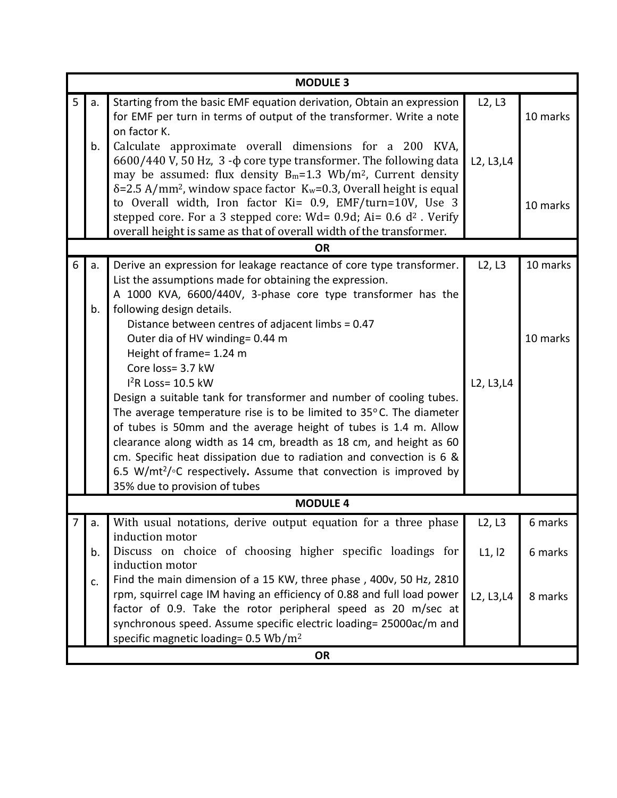|   | <b>MODULE 3</b> |                                                                                                                                                                         |            |          |  |  |  |  |
|---|-----------------|-------------------------------------------------------------------------------------------------------------------------------------------------------------------------|------------|----------|--|--|--|--|
| 5 | a.              | Starting from the basic EMF equation derivation, Obtain an expression                                                                                                   | L2, L3     |          |  |  |  |  |
|   |                 | for EMF per turn in terms of output of the transformer. Write a note                                                                                                    |            | 10 marks |  |  |  |  |
|   |                 | on factor K.                                                                                                                                                            |            |          |  |  |  |  |
|   | b.              | Calculate approximate overall dimensions for a 200 KVA,                                                                                                                 |            |          |  |  |  |  |
|   |                 | 6600/440 V, 50 Hz, 3 -φ core type transformer. The following data                                                                                                       | L2, L3, L4 |          |  |  |  |  |
|   |                 | may be assumed: flux density $B_m=1.3$ Wb/m <sup>2</sup> , Current density<br>$\delta$ =2.5 A/mm <sup>2</sup> , window space factor $K_w$ =0.3, Overall height is equal |            |          |  |  |  |  |
|   |                 | to Overall width, Iron factor Ki= 0.9, EMF/turn=10V, Use 3                                                                                                              |            |          |  |  |  |  |
|   |                 | stepped core. For a 3 stepped core: Wd= $0.9d$ ; Ai= $0.6 d2$ . Verify                                                                                                  |            | 10 marks |  |  |  |  |
|   |                 | overall height is same as that of overall width of the transformer.                                                                                                     |            |          |  |  |  |  |
|   |                 | <b>OR</b>                                                                                                                                                               |            |          |  |  |  |  |
| 6 | a.              | Derive an expression for leakage reactance of core type transformer.                                                                                                    | L2, L3     | 10 marks |  |  |  |  |
|   |                 | List the assumptions made for obtaining the expression.                                                                                                                 |            |          |  |  |  |  |
|   |                 | A 1000 KVA, 6600/440V, 3-phase core type transformer has the                                                                                                            |            |          |  |  |  |  |
|   | b.              | following design details.                                                                                                                                               |            |          |  |  |  |  |
|   |                 | Distance between centres of adjacent limbs = 0.47                                                                                                                       |            |          |  |  |  |  |
|   |                 | Outer dia of HV winding= 0.44 m                                                                                                                                         |            | 10 marks |  |  |  |  |
|   |                 | Height of frame= 1.24 m                                                                                                                                                 |            |          |  |  |  |  |
|   |                 | Core loss= 3.7 kW                                                                                                                                                       |            |          |  |  |  |  |
|   |                 | $I2R$ Loss= 10.5 kW                                                                                                                                                     | L2, L3, L4 |          |  |  |  |  |
|   |                 | Design a suitable tank for transformer and number of cooling tubes.                                                                                                     |            |          |  |  |  |  |
|   |                 | The average temperature rise is to be limited to $35^{\circ}$ C. The diameter                                                                                           |            |          |  |  |  |  |
|   |                 | of tubes is 50mm and the average height of tubes is 1.4 m. Allow                                                                                                        |            |          |  |  |  |  |
|   |                 | clearance along width as 14 cm, breadth as 18 cm, and height as 60                                                                                                      |            |          |  |  |  |  |
|   |                 | cm. Specific heat dissipation due to radiation and convection is 6 &<br>6.5 W/mt <sup>2</sup> / $\circ$ C respectively. Assume that convection is improved by           |            |          |  |  |  |  |
|   |                 | 35% due to provision of tubes                                                                                                                                           |            |          |  |  |  |  |
|   | <b>MODULE 4</b> |                                                                                                                                                                         |            |          |  |  |  |  |
|   | d.              | With usual notations, derive output equation for a three phase                                                                                                          | L2, L3     | 6 marks  |  |  |  |  |
|   |                 | induction motor                                                                                                                                                         |            |          |  |  |  |  |
|   | b.              | Discuss on choice of choosing higher specific loadings for                                                                                                              | L1, l2     | 6 marks  |  |  |  |  |
|   |                 | induction motor                                                                                                                                                         |            |          |  |  |  |  |
|   | c.              | Find the main dimension of a 15 KW, three phase, 400v, 50 Hz, 2810                                                                                                      |            |          |  |  |  |  |
|   |                 | rpm, squirrel cage IM having an efficiency of 0.88 and full load power                                                                                                  | L2, L3, L4 | 8 marks  |  |  |  |  |
|   |                 | factor of 0.9. Take the rotor peripheral speed as 20 m/sec at                                                                                                           |            |          |  |  |  |  |
|   |                 | synchronous speed. Assume specific electric loading= 25000ac/m and                                                                                                      |            |          |  |  |  |  |
|   |                 | specific magnetic loading= 0.5 Wb/m <sup>2</sup>                                                                                                                        |            |          |  |  |  |  |
|   | <b>OR</b>       |                                                                                                                                                                         |            |          |  |  |  |  |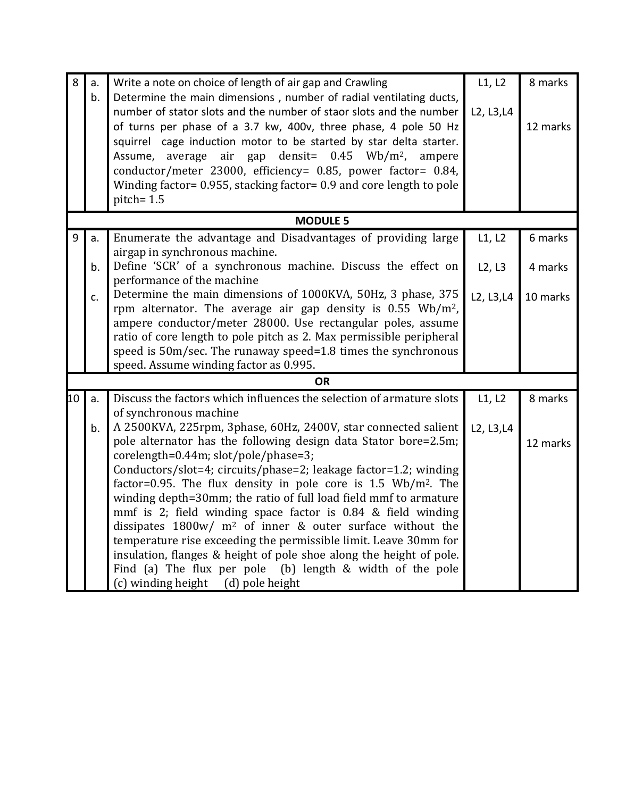| 8  | a.       | Write a note on choice of length of air gap and Crawling                                                                                                                                                                                                                                                                                                                                                                                                                                                                                                                                                                                 | L1, L2               | 8 marks             |
|----|----------|------------------------------------------------------------------------------------------------------------------------------------------------------------------------------------------------------------------------------------------------------------------------------------------------------------------------------------------------------------------------------------------------------------------------------------------------------------------------------------------------------------------------------------------------------------------------------------------------------------------------------------------|----------------------|---------------------|
|    | b.       | Determine the main dimensions, number of radial ventilating ducts,<br>number of stator slots and the number of staor slots and the number<br>of turns per phase of a 3.7 kw, 400v, three phase, 4 pole 50 Hz<br>squirrel cage induction motor to be started by star delta starter.<br>air gap densit= $0.45$ Wb/m <sup>2</sup> ,<br>average<br>Assume,<br>ampere<br>conductor/meter 23000, efficiency= 0.85, power factor= 0.84,<br>Winding factor= 0.955, stacking factor= 0.9 and core length to pole<br>pitch=1.5                                                                                                                     | L2, L3, L4           | 12 marks            |
|    |          | <b>MODULE 5</b>                                                                                                                                                                                                                                                                                                                                                                                                                                                                                                                                                                                                                          |                      |                     |
| 9  | a.       | Enumerate the advantage and Disadvantages of providing large<br>airgap in synchronous machine.                                                                                                                                                                                                                                                                                                                                                                                                                                                                                                                                           | L1, L2               | 6 marks             |
|    | b.       | Define 'SCR' of a synchronous machine. Discuss the effect on<br>performance of the machine                                                                                                                                                                                                                                                                                                                                                                                                                                                                                                                                               | L2, L3               | 4 marks             |
|    | c.       | Determine the main dimensions of 1000KVA, 50Hz, 3 phase, 375<br>rpm alternator. The average air gap density is $0.55$ Wb/m <sup>2</sup> ,<br>ampere conductor/meter 28000. Use rectangular poles, assume<br>ratio of core length to pole pitch as 2. Max permissible peripheral<br>speed is 50m/sec. The runaway speed=1.8 times the synchronous<br>speed. Assume winding factor as 0.995.                                                                                                                                                                                                                                               | L2, L3, L4           | 10 marks            |
|    |          | <b>OR</b>                                                                                                                                                                                                                                                                                                                                                                                                                                                                                                                                                                                                                                |                      |                     |
| 10 | a.<br>b. | Discuss the factors which influences the selection of armature slots<br>of synchronous machine<br>A 2500KVA, 225rpm, 3phase, 60Hz, 2400V, star connected salient<br>pole alternator has the following design data Stator bore=2.5m;                                                                                                                                                                                                                                                                                                                                                                                                      | L1, L2<br>L2, L3, L4 | 8 marks<br>12 marks |
|    |          | corelength=0.44m; slot/pole/phase=3;<br>Conductors/slot=4; circuits/phase=2; leakage factor=1.2; winding<br>factor=0.95. The flux density in pole core is $1.5 \text{ Wb/m}^2$ . The<br>winding depth=30mm; the ratio of full load field mmf to armature<br>mmf is 2; field winding space factor is 0.84 & field winding<br>dissipates $1800w/m^2$ of inner & outer surface without the<br>temperature rise exceeding the permissible limit. Leave 30mm for<br>insulation, flanges & height of pole shoe along the height of pole.<br>Find (a) The flux per pole (b) length & width of the pole<br>(c) winding height<br>(d) pole height |                      |                     |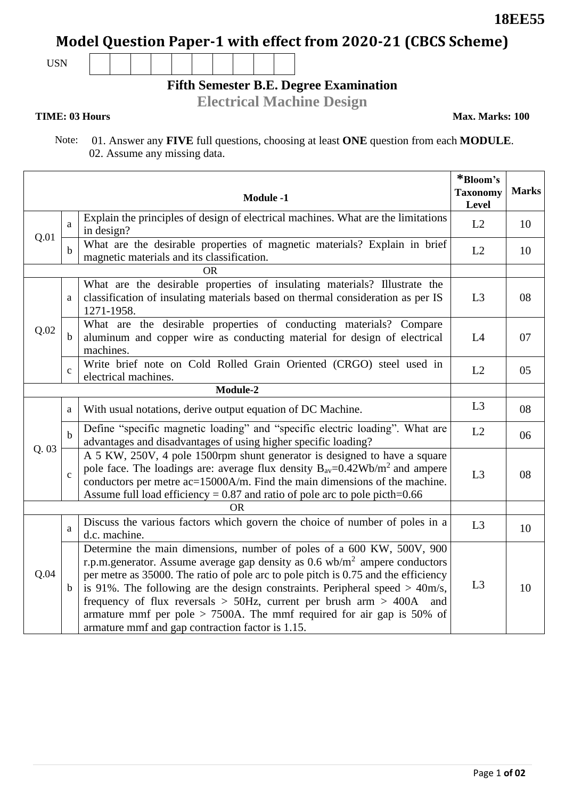# **Model Question Paper-1 with effect from 2020-21 (CBCS Scheme)**

USN

**Fifth Semester B.E. Degree Examination**

**Electrical Machine Design**

### **TIME: 03 Hours Max. Marks: 100**

Note: 01. Answer any **FIVE** full questions, choosing at least **ONE** question from each **MODULE**. 02. Assume any missing data.

|      |              | <b>Module -1</b>                                                                                                                                                                                                                                                                                                                                                                                                                                                                                                                                  | *Bloom's<br><b>Taxonomy</b><br>Level | <b>Marks</b> |  |  |
|------|--------------|---------------------------------------------------------------------------------------------------------------------------------------------------------------------------------------------------------------------------------------------------------------------------------------------------------------------------------------------------------------------------------------------------------------------------------------------------------------------------------------------------------------------------------------------------|--------------------------------------|--------------|--|--|
| Q.01 | a            | Explain the principles of design of electrical machines. What are the limitations<br>in design?                                                                                                                                                                                                                                                                                                                                                                                                                                                   | L2                                   | 10           |  |  |
|      | b            | What are the desirable properties of magnetic materials? Explain in brief<br>magnetic materials and its classification.                                                                                                                                                                                                                                                                                                                                                                                                                           | L2                                   | 10           |  |  |
|      | OR.          |                                                                                                                                                                                                                                                                                                                                                                                                                                                                                                                                                   |                                      |              |  |  |
|      | a            | What are the desirable properties of insulating materials? Illustrate the<br>classification of insulating materials based on thermal consideration as per IS<br>1271-1958.                                                                                                                                                                                                                                                                                                                                                                        | L3                                   | 08           |  |  |
| Q.02 | $\mathbf b$  | What are the desirable properties of conducting materials? Compare<br>aluminum and copper wire as conducting material for design of electrical<br>machines.                                                                                                                                                                                                                                                                                                                                                                                       | L4                                   | 07           |  |  |
|      | $\mathbf{C}$ | Write brief note on Cold Rolled Grain Oriented (CRGO) steel used in<br>electrical machines.                                                                                                                                                                                                                                                                                                                                                                                                                                                       | L2                                   | 05           |  |  |
|      | Module-2     |                                                                                                                                                                                                                                                                                                                                                                                                                                                                                                                                                   |                                      |              |  |  |
|      | a            | With usual notations, derive output equation of DC Machine.                                                                                                                                                                                                                                                                                                                                                                                                                                                                                       | L3                                   | 08           |  |  |
|      | $\mathbf b$  | Define "specific magnetic loading" and "specific electric loading". What are<br>advantages and disadvantages of using higher specific loading?                                                                                                                                                                                                                                                                                                                                                                                                    | L2                                   | 06           |  |  |
| Q.03 | $\mathbf{C}$ | A 5 KW, 250V, 4 pole 1500rpm shunt generator is designed to have a square<br>pole face. The loadings are: average flux density $B_{av} = 0.42 \text{Wb/m}^2$ and ampere<br>conductors per metre ac=15000A/m. Find the main dimensions of the machine.<br>Assume full load efficiency = $0.87$ and ratio of pole arc to pole picth= $0.66$                                                                                                                                                                                                         | L <sub>3</sub>                       | 08           |  |  |
|      | 0R           |                                                                                                                                                                                                                                                                                                                                                                                                                                                                                                                                                   |                                      |              |  |  |
|      | a            | Discuss the various factors which govern the choice of number of poles in a<br>d.c. machine.                                                                                                                                                                                                                                                                                                                                                                                                                                                      | L <sub>3</sub>                       | 10           |  |  |
| Q.04 | $\mathbf b$  | Determine the main dimensions, number of poles of a 600 KW, 500V, 900<br>r.p.m.generator. Assume average gap density as $0.6 \text{ wb/m}^2$ ampere conductors<br>per metre as 35000. The ratio of pole arc to pole pitch is 0.75 and the efficiency<br>is 91%. The following are the design constraints. Peripheral speed $>$ 40m/s,<br>frequency of flux reversals $>$ 50Hz, current per brush arm $>$ 400A and<br>armature mmf per pole $> 7500$ A. The mmf required for air gap is 50% of<br>armature mmf and gap contraction factor is 1.15. | L3                                   | 10           |  |  |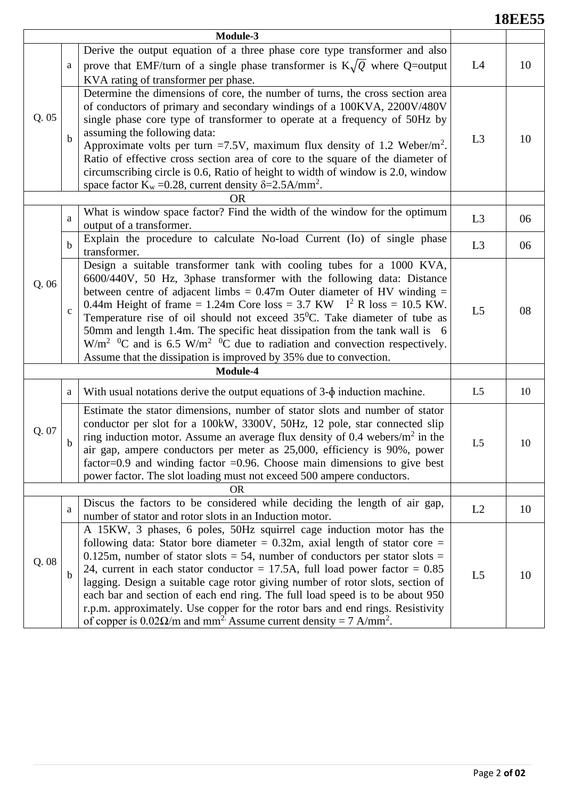## **18EE55**

|          |              | Module-3                                                                                                                                                                                                                                                                                                                                                                                                                                                                                                                                                                                                                                                                               |                |    |  |
|----------|--------------|----------------------------------------------------------------------------------------------------------------------------------------------------------------------------------------------------------------------------------------------------------------------------------------------------------------------------------------------------------------------------------------------------------------------------------------------------------------------------------------------------------------------------------------------------------------------------------------------------------------------------------------------------------------------------------------|----------------|----|--|
|          |              | Derive the output equation of a three phase core type transformer and also                                                                                                                                                                                                                                                                                                                                                                                                                                                                                                                                                                                                             |                |    |  |
|          | a            | prove that EMF/turn of a single phase transformer is $K\sqrt{Q}$ where Q=output                                                                                                                                                                                                                                                                                                                                                                                                                                                                                                                                                                                                        | L4             | 10 |  |
|          |              | KVA rating of transformer per phase.                                                                                                                                                                                                                                                                                                                                                                                                                                                                                                                                                                                                                                                   |                |    |  |
| Q.05     | $\mathbf b$  | Determine the dimensions of core, the number of turns, the cross section area<br>of conductors of primary and secondary windings of a 100KVA, 2200V/480V<br>single phase core type of transformer to operate at a frequency of 50Hz by<br>assuming the following data:<br>Approximate volts per turn =7.5V, maximum flux density of 1.2 Weber/m <sup>2</sup> .<br>Ratio of effective cross section area of core to the square of the diameter of<br>circumscribing circle is 0.6, Ratio of height to width of window is 2.0, window<br>space factor $K_w = 0.28$ , current density $\delta = 2.5 \text{A/mm}^2$ .                                                                      | L <sub>3</sub> | 10 |  |
|          |              | <b>OR</b>                                                                                                                                                                                                                                                                                                                                                                                                                                                                                                                                                                                                                                                                              |                |    |  |
|          | a            | What is window space factor? Find the width of the window for the optimum<br>output of a transformer.                                                                                                                                                                                                                                                                                                                                                                                                                                                                                                                                                                                  | L3             | 06 |  |
|          | $\mathbf b$  | Explain the procedure to calculate No-load Current (Io) of single phase<br>transformer.                                                                                                                                                                                                                                                                                                                                                                                                                                                                                                                                                                                                | L <sub>3</sub> | 06 |  |
| Q. 06    | $\mathbf{C}$ | Design a suitable transformer tank with cooling tubes for a 1000 KVA,<br>6600/440V, 50 Hz, 3phase transformer with the following data: Distance<br>between centre of adjacent limbs = $0.47$ m Outer diameter of HV winding =<br>0.44m Height of frame = 1.24m Core loss = 3.7 KW $I^2 R \text{ loss} = 10.5 \text{ KW}.$<br>Temperature rise of oil should not exceed $35^{\circ}$ C. Take diameter of tube as<br>50mm and length 1.4m. The specific heat dissipation from the tank wall is 6<br>$W/m^2$ <sup>0</sup> C and is 6.5 W/m <sup>2</sup> <sup>0</sup> C due to radiation and convection respectively.<br>Assume that the dissipation is improved by 35% due to convection. | L <sub>5</sub> | 08 |  |
| Module-4 |              |                                                                                                                                                                                                                                                                                                                                                                                                                                                                                                                                                                                                                                                                                        |                |    |  |
|          | a            | With usual notations derive the output equations of $3-\phi$ induction machine.                                                                                                                                                                                                                                                                                                                                                                                                                                                                                                                                                                                                        | L5             | 10 |  |
| Q. 07    | b            | Estimate the stator dimensions, number of stator slots and number of stator<br>conductor per slot for a 100kW, 3300V, 50Hz, 12 pole, star connected slip<br>ring induction motor. Assume an average flux density of 0.4 webers/ $m2$ in the<br>air gap, ampere conductors per meter as 25,000, efficiency is 90%, power<br>factor= $0.9$ and winding factor = $0.96$ . Choose main dimensions to give best<br>power factor. The slot loading must not exceed 500 ampere conductors.                                                                                                                                                                                                    | L <sub>5</sub> | 10 |  |
|          | <b>OR</b>    |                                                                                                                                                                                                                                                                                                                                                                                                                                                                                                                                                                                                                                                                                        |                |    |  |
|          | a            | Discus the factors to be considered while deciding the length of air gap,<br>number of stator and rotor slots in an Induction motor.                                                                                                                                                                                                                                                                                                                                                                                                                                                                                                                                                   | L2             | 10 |  |
| Q. 08    | b            | A 15KW, 3 phases, 6 poles, 50Hz squirrel cage induction motor has the<br>following data: Stator bore diameter = $0.32$ m, axial length of stator core =<br>0.125m, number of stator slots = 54, number of conductors per stator slots =<br>24, current in each stator conductor = 17.5A, full load power factor = $0.85$<br>lagging. Design a suitable cage rotor giving number of rotor slots, section of<br>each bar and section of each end ring. The full load speed is to be about 950<br>r.p.m. approximately. Use copper for the rotor bars and end rings. Resistivity<br>of copper is $0.02\Omega/m$ and mm <sup>2</sup> Assume current density = 7 A/mm <sup>2</sup> .        | L5             | 10 |  |